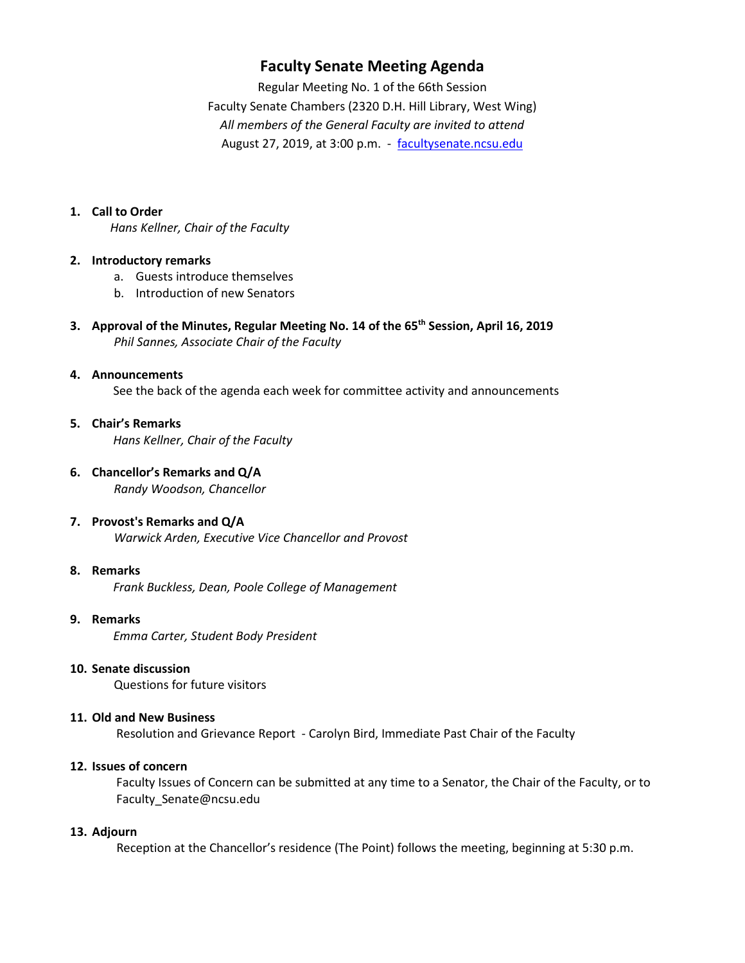# **Faculty Senate Meeting Agenda**

Regular Meeting No. 1 of the 66th Session Faculty Senate Chambers (2320 D.H. Hill Library, West Wing) *All members of the General Faculty are invited to attend* August 27, 2019, at 3:00 p.m. - [facultysenate.ncsu.edu](https://facultysenate.ncsu.edu/)

### **1. Call to Order**

*Hans Kellner, Chair of the Faculty*

#### **2. Introductory remarks**

- a. Guests introduce themselves
- b. Introduction of new Senators
- **3. Approval of the Minutes, Regular Meeting No. 14 of the 65th Session, April 16, 2019** *Phil Sannes, Associate Chair of the Faculty*

# **4. Announcements** See the back of the agenda each week for committee activity and announcements

### **5. Chair's Remarks**   *Hans Kellner, Chair of the Faculty*

**6. Chancellor's Remarks and Q/A**

*Randy Woodson, Chancellor*

### **7. Provost's Remarks and Q/A**

*Warwick Arden, Executive Vice Chancellor and Provost*

## **8. Remarks**

*Frank Buckless, Dean, Poole College of Management* 

### **9. Remarks**

*Emma Carter, Student Body President*

# **10. Senate discussion**

Questions for future visitors

### **11. Old and New Business**

Resolution and Grievance Report - Carolyn Bird, Immediate Past Chair of the Faculty

#### **12. Issues of concern**

 Faculty Issues of Concern can be submitted at any time to a Senator, the Chair of the Faculty, or to Faculty\_Senate@ncsu.edu

### **13. Adjourn**

Reception at the Chancellor's residence (The Point) follows the meeting, beginning at 5:30 p.m.